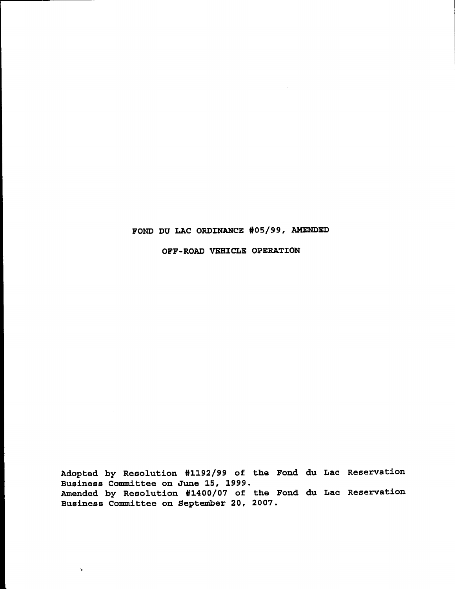# FOND DU LAC ORDINANCE #05/99, AMENDED

OFF-ROAD VEHICLE OPERATION

Adopted by Resolution #1192/99 of the Fond du Lac Reservation Business Committee on June 15, 1999. Amended by Resolution #1400/07 of the Fond du Lac Reservation Business Committee on September 20, 2007.

 $\ddot{\phantom{a}}$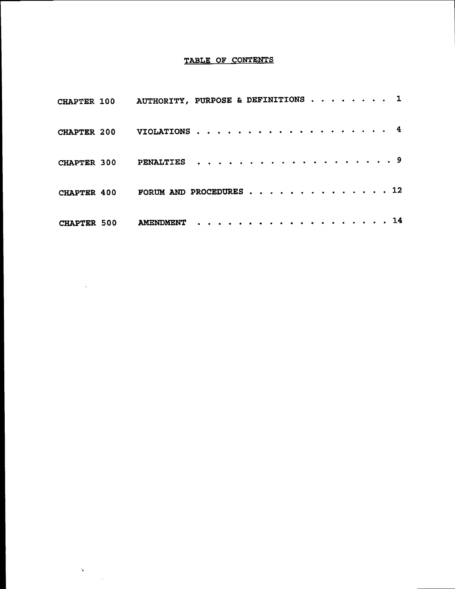# TABLE OF CONTENTS

|                    | CHAPTER 100 AUTHORITY, PURPOSE & DEFINITIONS 1 |  |  |  |  |  |  |  |  |  |  |
|--------------------|------------------------------------------------|--|--|--|--|--|--|--|--|--|--|
|                    | CHAPTER 200 VIOLATIONS 4                       |  |  |  |  |  |  |  |  |  |  |
|                    | CHAPTER 300 PENALTIES 9                        |  |  |  |  |  |  |  |  |  |  |
|                    | CHAPTER 400 FORUM AND PROCEDURES 12            |  |  |  |  |  |  |  |  |  |  |
| <b>CHAPTER 500</b> | AMENDMENT 14                                   |  |  |  |  |  |  |  |  |  |  |

 $\bar{\beta}$ 

 $\sum_{i=1}^{N} \frac{1}{\left\| \sum_{i=1}^{N} \frac{1}{\left\| \sum_{i=1}^{N} \frac{1}{\left\| \sum_{i=1}^{N} \frac{1}{\left\| \sum_{i=1}^{N} \frac{1}{\left\| \sum_{i=1}^{N} \frac{1}{\left\| \sum_{i=1}^{N} \frac{1}{\left\| \sum_{i=1}^{N} \frac{1}{\left\| \sum_{i=1}^{N} \frac{1}{\left\| \sum_{i=1}^{N} \frac{1}{\left\| \sum_{i=1}^{N} \frac{1}{\left\| \sum_{i=1}^{N} \$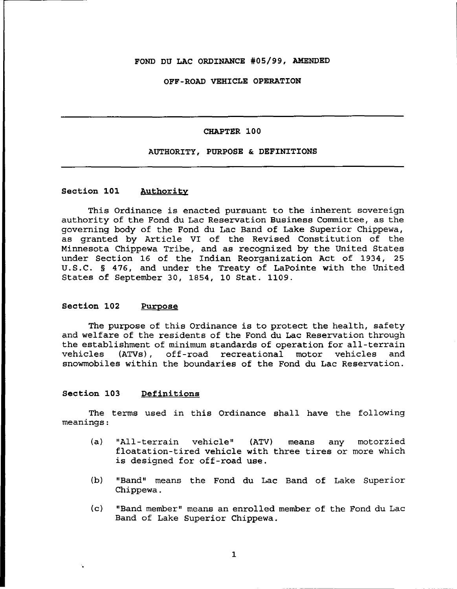#### FOND DU LAC ORDINANCE #05/99, AMENDED

#### OFF-ROAD VEHICLE OPERATION

#### CHAPTER 100

#### AUTHORITY, PURPOSE & DEFINITIONS

# Section 101 Authority

This Ordinance is enacted pursuant to the inherent sovereign authority of the Fond du Lac Reservation Business Committee, as the governing body of the Fond du Lac Band of Lake Superior Chippewa, as granted by Article VI of the Revised Constitution of the Minnesota Chippewa Tribe, and as recognized by the United States under Section 16 of the Indian Reorganization Act of 1934, 25 U.S.C. § 476, and under the Treaty of LaPointe with the United States of September 30, 1854, 10 Stat. 1109.

## Section 102 Purpose

The purpose of this Ordinance is to protect the health, safety and welfare of the residents of the Fond du Lac Reservation through the establishment of minimum standards of operation for all-terrain vehicles (ATVs), off-road recreational motor vehicles and off-road recreational motor vehicles and snowmobiles within the boundaries of the Fond du Lac Reservation.

#### Section 103 Definitions

'.

The terms used in this Ordinance shall have the following meanings:

- (a) "All-terrain vehicle" (ATV) means any motorzied floatation-tired vehicle with three tires or more which is designed for off-road use.
- (b) "Band" means the Fond du Lac Band of Lake Superior Chippewa.
- (c) "Band member" means an enrolled member of the Fond du Lac Band of Lake Superior Chippewa.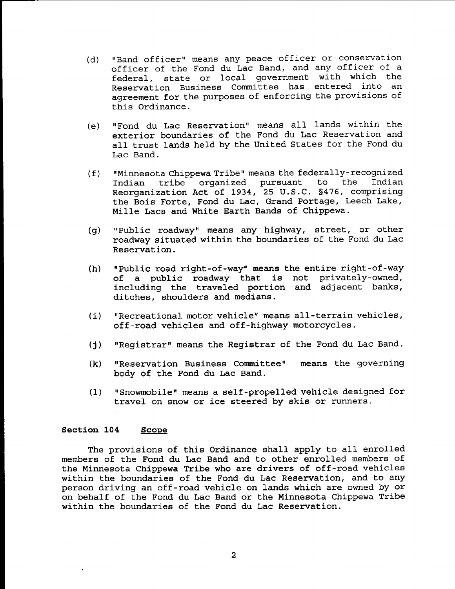- (d) "Band officer" means any peace officer or conservation officer of the Fond du Lac Band, and any officer of <sup>a</sup> federal, state or local government with which the Reservation Business Committee has entered into an agreement for the purposes of enforcing the provisions of this Ordinance.
- (e) "Fond du Lac Reservation" means all lands within the exterior boundaries of the Fond du Lac Reservation and all trust lands held by the United States for the Fond du Lac Band.
- (f) "Minnesota Chippewa Tribe" means the federally-recognized Indian tribe organized pursuant Reorganization Act of 1934, 25 U.S.C. §476, comprising the Bois Forte, Fond du Lac, Grand Portage, Leech Lake, Mille Lacs and White Earth Bands of Chippewa.
- (g) "Public roadway" means any highway, street, or other roadway situated within the boundaries of the Fond du Lac Reservation.
- (h) "Public road right-of-way" means the entire right-of-way of <sup>a</sup> public roadway that *is* not privately-owned, including the traveled portion and adjacent banks, ditches, shoulders and medians.
- (i) "Recreational motor vehicle" means all-terrain vehicles, off-road vehicles and off-highway motorcycles.
- (j) "Registrar" means the Registrar of the Fond du Lac Band.
- (k) "Reservation Business Committee" body of the Fond du Lac Band. means the governing
- (1) "Snowmobile" means a self-propelled vehicle designed for travel on snow or ice steered by skis or runners.

# Section 104 Scope

The provisions of this Ordinance shall apply to all enrolled members of the Fond du Lac Band and to other enrolled members of the Minnesota Chippewa Tribe who are drivers of off-road vehicles within the boundaries of the Fond du Lac Reservation, and to any person driving an off-road vehicle on lands which are owned by or on behalf of the Fond du Lac Band or the Minnesota Chippewa Tribe within the boundaries of the Fond du Lac Reservation.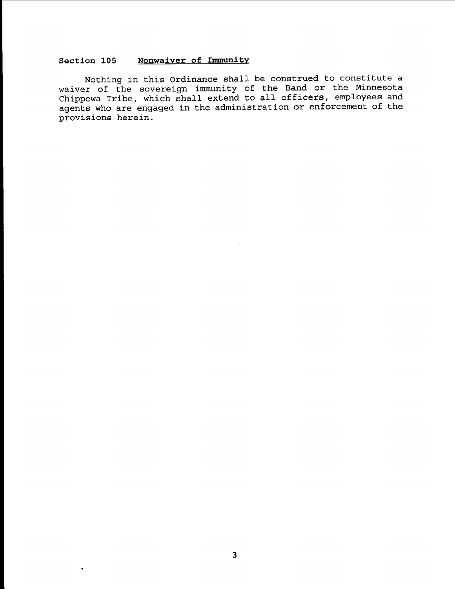# **Section 105 Nonwaiver of Immunity**

Nothing in this Ordinance shall be construed to constitute <sup>a</sup> waiver of the sovereign immunity of the Band or the Minnesota waiver of the sovereigh immunity or the limit of the correction agents who are engaged in the administration or enforcement of the provisions herein.

 $\ddot{\phantom{a}}$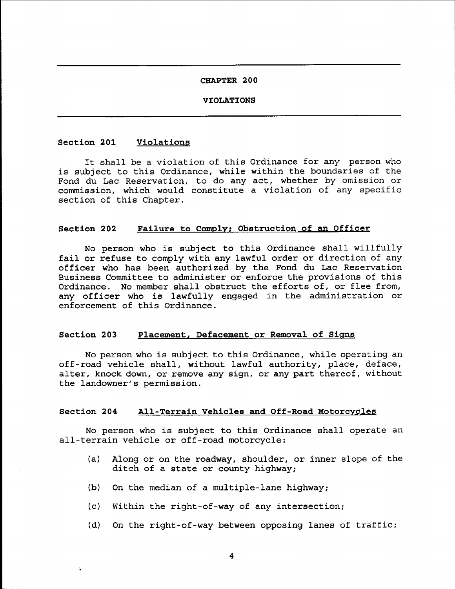#### **VIOLATIONS**

#### **Section 201 Violations**

'.

It shall be a violation of this Ordinance for any person who is subject to this Ordinance, while within the boundaries of the Fond du Lac Reservation, to do any act, whether by omission or commission, which would constitute a violation of any specific section of this Chapter.

#### **Section 202 Failure to Comply; Obstruction of an Officer**

No person who is subject to this Ordinance shall willfully fail or refuse to comply with any lawful order or direction of any officer who has been authorized by the Fond du Lac Reservation Business Committee to administer or enforce the provisions of this Ordinance. No member shall obstruct the efforts of, or flee from, any officer who is lawfully engaged in the administration or enforcement of this Ordinance.

#### **Section 203 Placement, Defacement or Removal of Signs**

No person who is subject to this Ordinance, while operating an off-road vehicle shall, without lawful authority, place, deface, alter, knock down, or remove any sign, or any part thereof, without the landowner's permission.

# **Section 204 All-Terrain Vehicles and Off-Road Motorcycles**

No person who is SUbject to this Ordinance shall operate an all-terrain vehicle or off-road motorcycle:

- (a) Along or on the roadway, shoulder, or inner slope of the ditch of <sup>a</sup> state or county highway;
- (b) On the median of a multiple-lane highway;
- (c) Within the right-of-way of any intersection;
- (d) On the right-of-way between opposing lanes of traffic;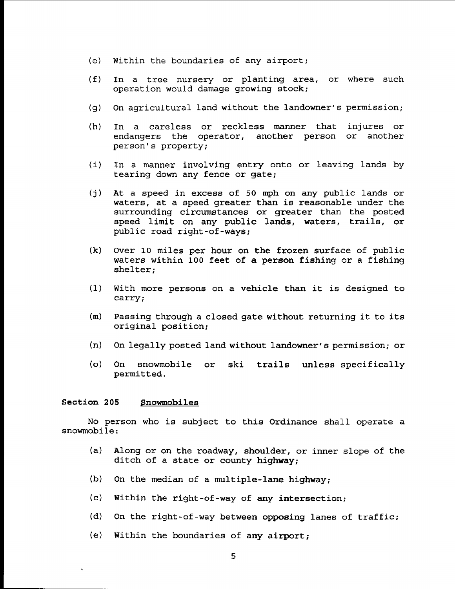- (e) Within the boundaries of any airport;
- (f) In a tree nursery or planting area, or where such operation would damage growing stock;
- (g) On agricultural land without the landowner's permission;
- (h) In a careless or reckless manner that injures or endangers the operator, another person person's property; another
- (i) In a manner involving entry onto or leaving lands by tearing down any fence or gate;
- (j) At a speed in excess of 50 mph on any public lands or waters, at <sup>a</sup> speed greater than is reasonable under the surrounding circumstances or greater than the posted speed limit on any public lands, waters, trails, or public road right-of-ways;
- (k) Over 10 miles per hour on the frozen surface of public waters within 100 feet of a person fishing or a fishing shelter;
- (1) With more persons on <sup>a</sup> vehicle than it is designed to carry;
- (m) Passing through <sup>a</sup> closed gate without returning it to its original position;
- (n) On legally posted land without landowner's permission; or
- (0) On snowmobile or ski trails unless specifically permitted.

# Section 205 Snowmobiles

No person who is subject to this Ordinance shall operate <sup>a</sup> snowmobile:

- (a) Along or on the roadway, shoulder, or inner slope of the ditch of <sup>a</sup> state or county highway;
- (b) On the median of a multiple-lane highway;
- (c) Within the right-of-way of any intersection;
- (d) On the right-of-way between opposing lanes of traffic;
- *(e)* Within the boundaries of any airport;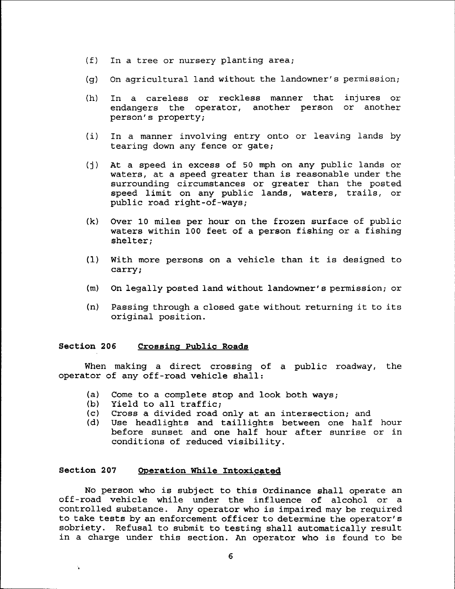- (f) In a tree or nursery planting area;
- (g) On agricultural land without the landowner's permission;
- (h) In a careless or reckless manner that endangers the operator, another person or another person's property; injures or
- (i) In a manner involving entry onto or leaving lands by tearing down any fence or gate;
- (j) At a speed in excess of 50 mph on any public lands or waters, at <sup>a</sup> speed greater than is reasonable under the surrounding circumstances or greater than the posted speed limit on any public lands, waters, trails, or public road right-of-ways;
- (k) Over 10 miles per hour on the frozen surface of public waters within 100 feet of a person fishing or a fishing shelter;
- (1) With more persons on <sup>a</sup> vehicle than it *is* designed to carry;
- (m) On legally posted land without landowner's permission; or
- (n) Passing through <sup>a</sup> closed gate without returning it to its original position.

#### **Section 206 Crossing Public Roads**

When making a direct crossing of a public roadway, the operator of any off-road vehicle shall:

- (a) Come to a complete stop and look both ways;
- (b) Yield to all traffic;<br>(c) Cross a divided road
- (c) Cross a divided road only at an intersection; and (d) Use headlights and taillights between one half
- Use headlights and taillights between one half hour before sunset and one half hour after sunrise or *in* conditions of reduced visibility.

#### **Section 207 Operation While Intoxicated**

No person who is subject to this Ordinance shall operate an off-road vehicle while under the influence of alcohol or a controlled substance. Any operator who is impaired may be required to take tests by an enforcement officer to determine the operator's sobriety. Refusal to submit to testing shall automatically result in <sup>a</sup> charge under this section. An operator who is found to be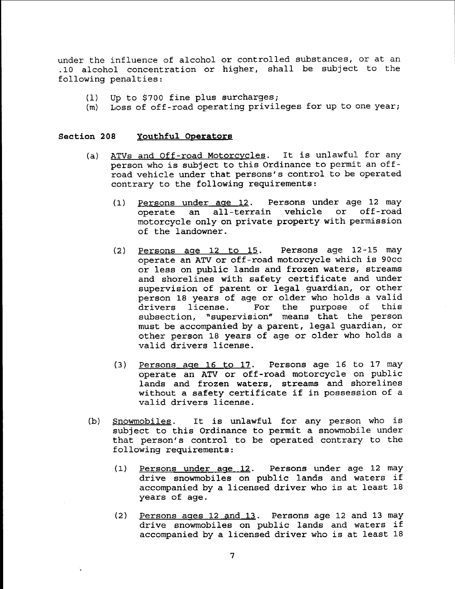under the influence of alcohol or controlled substances, or at an .10 alcohol concentration or higher, shall be subject to the following penalties:

- (1) Up to \$700 fine plus surcharges;
- (m) Loss of off-road operating privileges for up to one year;

#### Section 208 Youthful Operators

- (a) ATVs and Off-road Motorcycles. It is unlawful for any person who is subject to this Ordinance to permit an offroad vehicle under that persons's control to be operated contrary to the following requirements:
	- (1) Persons under age 12. Persons under age 12 may operate an all-terrain vehicle or off-road motorcycle only on private property with permission of the landowner.
	- (2) Persons age  $12$  to  $15$ . Persons age  $12-15$  may operate an ATV or off-road motorcycle which is 90cc or less on public lands and frozen waters, streams and shorelines with safety certificate and under supervision of parent or legal guardian, or other person 18 years of age or older who holds a valid<br>drivers license. For the purpose of this drivers license. For the purpose of subsection, "supervision" means that the person must be accompanied by a parent, legal guardian, or other person 18 years of age or older who holds a valid drivers license.
	- (3) Persons age 16 to 17. Persons age 16 to 17 may operate an ATV or off-road motorcycle on public lands and frozen waters, streams and shorelines without <sup>a</sup> safety certificate if in possession of <sup>a</sup> valid drivers license.
- (b) Snowmobiles. It is unlawful for any person who is subject to this Ordinance to permit <sup>a</sup> snowmobile under that person's control to be operated contrary to the following requirements:
	- (1) Persons under age 12. Persons under age 12 may drive snowmobiles on public lands and waters if accompanied by <sup>a</sup> licensed driver who is at least <sup>18</sup> years of age.
	- (2) Persons ages 12 and 13. Persons age 12 and 13 may drive snowmobiles on public lands and waters if accompanied by <sup>a</sup> licensed driver who is at least <sup>18</sup>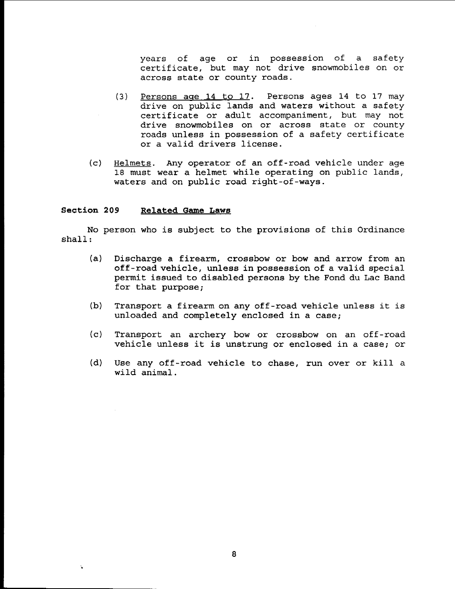years of age or in possession of a safety certificate, but may not drive snowmobiles on or across state or county roads.

- (3) Persons age 14 to 17. Persons ages 14 to 17 may drive on public lands and waters without a safety certificate or adult accompaniment, but may not drive snowmobiles on or across state or county roads unless in possession of <sup>a</sup> safety certificate or a valid drivers license.
- (c) Helmets. Any operator of an off-road vehicle under age 18 must wear a helmet while operating on public lands, waters and on public road right-of-ways.

# **Section 209 Related Game Laws**

..

No person who is subject to the provisions of this Ordinance shall:

- (a) Discharge a firearm, crossbow or bow and arrow from an off-road vehicle, unless in possession of a valid special permit issued to disabled persons by the Fond du Lac Band for that purpose;
- (b) Transport <sup>a</sup> firearm on any off-road vehicle unless it is unloaded and completely enclosed in a case;
- (c) Transport an archery bow or crossbow on an off-road vehicle unless it is unstrung or enclosed in <sup>a</sup> case; or
- (d) Use any off-road vehicle to chase, run over or kill <sup>a</sup> wild animal.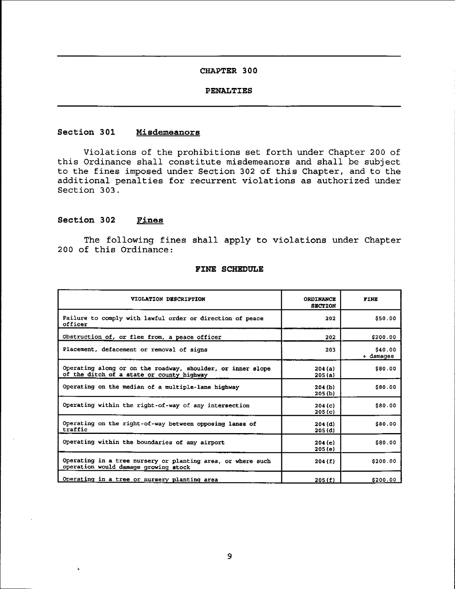# **PENALTIES**

## **Section 301 Misdemeanors**

Violations of the prohibitions set forth under Chapter 200 of this Ordinance shall constitute misdemeanors and shall be subject to the fines imposed under Section 302 of this Chapter, and to the additional penalties for recurrent violations as authorized under Section 303.

# **Section 302 Fines**

..

The following fines shall apply to violations under Chapter 200 of this Ordinance:

| VIOLATION DESCRIPTION                                                                                    | <b>ORDINANCE</b><br><b>SECTION</b> | FINE                 |  |  |
|----------------------------------------------------------------------------------------------------------|------------------------------------|----------------------|--|--|
| Failure to comply with lawful order or direction of peace<br>officer                                     | 202                                | \$50.00              |  |  |
| Obstruction of, or flee from, a peace officer                                                            | 202                                | \$200.00             |  |  |
| Placement, defacement or removal of signs                                                                | 203                                | \$40.00<br>+ damages |  |  |
| Operating along or on the roadway, shoulder, or inner slope<br>of the ditch of a state or county highway | 204(a)<br>205(a)                   | \$80.00              |  |  |
| Operating on the median of a multiple-lane highway                                                       | 204(b)<br>205(b)                   | \$80.00              |  |  |
| Operating within the right-of-way of any intersection                                                    | 204(c)<br>205(c)                   | \$80.00              |  |  |
| Operating on the right-of-way between opposing lanes of<br>traffic                                       | 204(d)<br>205(d)                   | \$80.00              |  |  |
| Operating within the boundaries of any airport                                                           | 204(e)<br>205(e)                   | \$80.00              |  |  |
| Operating in a tree nursery or planting area, or where such<br>operation would damage growing stock      | 204(f)                             | \$200.00             |  |  |
| Operating in a tree or nursery planting area                                                             | 205(f)                             | \$200.00             |  |  |

#### **FINE SCHEDULE**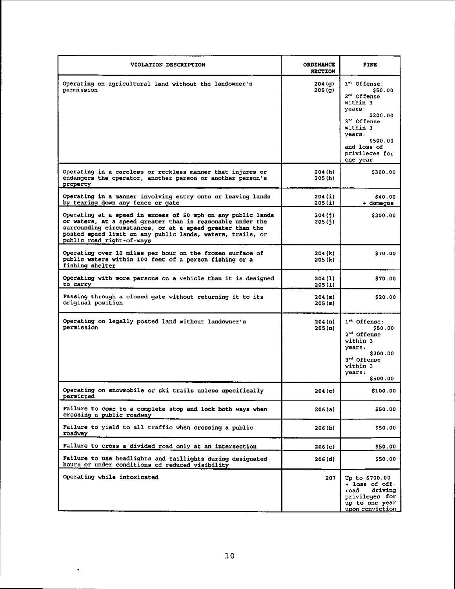| VIOLATION DESCRIPTION                                                                                                                                                                                                                                                              | <b>ORDINANCE</b><br><b>SECTION</b> | FINE                                                                                                                                                                              |
|------------------------------------------------------------------------------------------------------------------------------------------------------------------------------------------------------------------------------------------------------------------------------------|------------------------------------|-----------------------------------------------------------------------------------------------------------------------------------------------------------------------------------|
| Operating on agricultural land without the landowner's<br>permission                                                                                                                                                                                                               | 204(9)<br>205(g)                   | l" Offense:<br>\$50.00<br>2 <sup>nd</sup> Offense<br>within 3<br>years:<br>\$200.00<br>3rd Offense<br>within 3<br>vears:<br>\$500.00<br>and loss of<br>privileges for<br>one year |
| Operating in a careless or reckless manner that injures or<br>endangers the operator, another person or another person's<br>property                                                                                                                                               | 204 (h)<br>205 (h)                 | \$300.00                                                                                                                                                                          |
| Operating in a manner involving entry onto or leaving lands<br>by tearing down any fence or gate                                                                                                                                                                                   | 204 (i)<br>205(i)                  | \$40.00<br>+ damages                                                                                                                                                              |
| Operating at a speed in excess of 50 mph on any public lands<br>or waters, at a speed greater than is reasonable under the<br>surrounding circumstances, or at a speed greater than the<br>posted speed limit on any public lands, waters, trails, or<br>public road right-of-ways | 204 (j)<br>205(j)                  | \$200.00                                                                                                                                                                          |
| Operating over 10 miles per hour on the frozen surface of<br>public waters within 100 feet of a person fishing or a<br>fishing shelter                                                                                                                                             | 204 (k)<br>205 (k)                 | \$70.00                                                                                                                                                                           |
| Operating with more persons on a vehicle than it is designed<br>to carry                                                                                                                                                                                                           | 204 (1)<br>205(1)                  | \$70.00                                                                                                                                                                           |
| Passing through a closed gate without returning it to its<br>original position                                                                                                                                                                                                     | 204(m)<br>205(m)                   | \$20.00                                                                                                                                                                           |
| Operating on legally posted land without landowner's<br>permission                                                                                                                                                                                                                 | 204(n)<br>205(n)                   | $1$ <sup>*</sup> Offense:<br>\$50.00<br>2 <sup>nd</sup> Offense<br>within 3<br>years.<br>\$200.00<br>3 <sup>rd</sup> Offense<br>within 3<br>years:<br>\$500.00                    |
| Operating on snowmobile or ski trails unless specifically<br>permitted                                                                                                                                                                                                             | 204 (o)                            | \$100.00                                                                                                                                                                          |
| Failure to come to a complete stop and look both ways when<br>crossing a public roadway                                                                                                                                                                                            | 206 (a)                            | \$50.00                                                                                                                                                                           |
| Failure to yield to all traffic when crossing a public<br>roadway                                                                                                                                                                                                                  | 206 (b)                            | \$50.00                                                                                                                                                                           |
| Failure to cross a divided road only at an intersection                                                                                                                                                                                                                            | 206(c)                             | \$50.00                                                                                                                                                                           |
| Failure to use headlights and taillights during designated<br>hours or under conditions of reduced visibility                                                                                                                                                                      | 206(d)                             | \$50.00                                                                                                                                                                           |
| Operating while intoxicated                                                                                                                                                                                                                                                        | 207                                | Up to \$700.00<br>+ loss of off-<br>driving<br>road<br>privileges for<br>up to one year<br>upon conviction                                                                        |

 $\hat{\mathbf{v}}$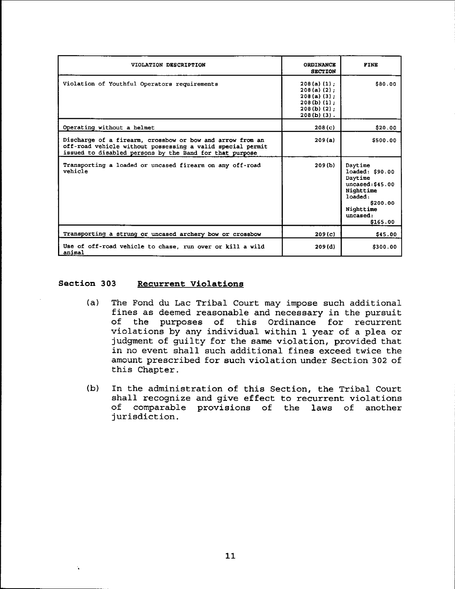| VIOLATION DESCRIPTION                                                                                                                                                              | <b>ORDINANCE</b><br><b>SECTION</b>                                                                  | <b>FINE</b>                                                                                                                        |
|------------------------------------------------------------------------------------------------------------------------------------------------------------------------------------|-----------------------------------------------------------------------------------------------------|------------------------------------------------------------------------------------------------------------------------------------|
| Violation of Youthful Operators requirements                                                                                                                                       | $208(a)(1)$ ;<br>$208(a)(2)$ :<br>$208(a)(3)$ ;<br>$208(b) (1)$ :<br>$208(b)(2)$ ;<br>$208(b)$ (3). | 580.00                                                                                                                             |
| Operating without a helmet                                                                                                                                                         | 208(c)                                                                                              | \$20.00                                                                                                                            |
| Discharge of a firearm, crossbow or bow and arrow from an<br>off-road vehicle without possessing a valid special permit<br>issued to disabled persons by the Band for that purpose | 209(a)                                                                                              | \$500.00                                                                                                                           |
| Transporting a loaded or uncased firearm on any off-road<br>vehicle                                                                                                                | 209(b)                                                                                              | Daytime<br>loaded: \$90.00<br>Daytime<br>uncased: \$45.00<br>Nighttime<br>loaded:<br>\$200.00<br>Nighttime<br>uncased:<br>\$165.00 |
| Transporting a strung or uncased archery bow or crossbow                                                                                                                           | 209(c)                                                                                              | \$45.00                                                                                                                            |
| Use of off-road vehicle to chase, run over or kill a wild<br>animal                                                                                                                | 209(d)                                                                                              | \$300.00                                                                                                                           |

# Section 303 Recurrent Violations

- (a) The Fond du Lac Tribal Court may impose such additional fines as deemed reasonable and necessary in the pursuit<br>of the purposes of this Ordinance for recurrent the purposes of this Ordinance for recurrent violations by any individual within 1 year of a plea or judgment of guilty for the same violation, provided that in no event shall such additional fines exceed twice the amount prescribed for such violation under Section 302 of this Chapter.
- (b) In the administration of this Section, the Tribal Court shall recognize and give effect to recurrent violations<br>of comparable provisions of the laws of another comparable provisions of the laws of another jurisdiction.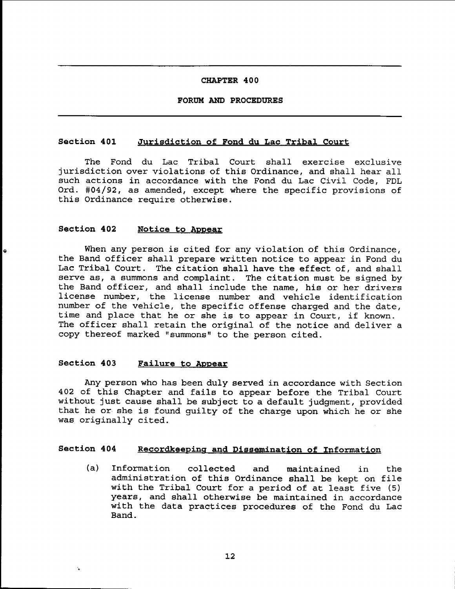#### FORUM AND PROCEDURES

#### Section 401 Jurisdiction of Fond du Lac Tribal Court

The Fond du Lac Tribal Court shall exercise exclusive jurisdiction over violations of this Ordinance, and shall hear all such actions in accordance with the Fond du Lac Civil Code, FDL Ord. #04/92, as amended, except where the specific provisions of this Ordinance require otherwise.

# Section 402 Notice to Appear

When any person is cited for any violation of this Ordinance, the Band officer shall prepare written notice to appear in Fond du Lac Tribal Court. The citation shall have the effect of, and shall serve as, <sup>a</sup> summons and complaint. The citation must be signed by the Band officer, and shall include the name, his or her drivers license number, the license number and vehicle identification number of the vehicle, the specific offense charged and the date, time and place that he or she is to appear in Court, if known. The officer shall retain the original of the notice and deliver <sup>a</sup> copy thereof marked "summons" to the person cited.

# Section 403 Failure to Appear

'.

Any person who has been duly served in accordance with Section 402 of this Chapter and fails to appear before the Tribal Court without just cause shall be subject to <sup>a</sup> default judgment, provided that he or she is found guilty of the charge upon which he or she was originally cited.

# Section 404 Recordkeeping and Dissemination of Information

(a) Information collected and maintained in the administration of this Ordinance shall be kept on file with the Tribal Court for <sup>a</sup> period of at least five (5) years, and shall otherwise be maintained in accordance with the data practices procedures of the Fond du Lac Band.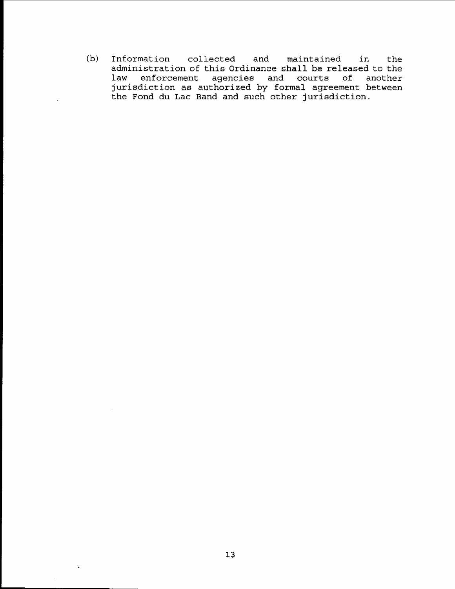(b) Information collected and maintained in the administration of this Ordinance shall be released to the law enforcement agencies and courts of another jurisdiction as authorized by formal agreement between the Fond du Lac Band and such other jurisdiction.

 $\ddot{\phantom{a}}$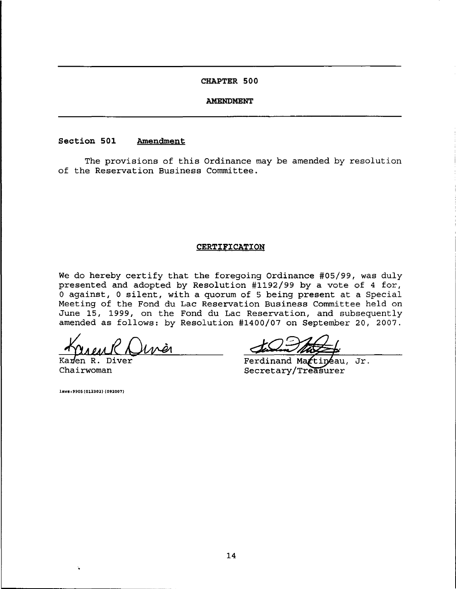#### **AMENDMENT**

# **Section 501 Amendment**

The provisions of this Ordinance may be amended by resolution of the Reservation Business Committee.

#### **CERTIFICATION**

We do hereby certify that the foregoing Ordinance #05/99, was duly presented and adopted by Resolution #1192/99 by a vote of 4 for, o against, <sup>0</sup> silent, with <sup>a</sup> quorum of <sup>5</sup> being present at <sup>a</sup> Special Meeting of the Fond du Lac Reservation Business Committee held on June 15, 1999, on the Fond du Lac Reservation, and subsequently amended as follows: by Resolution #1400/07 on September 20, 2007.

*-tk* Ka en *Aud* R. D1ver*DW41*

Chairwoman

laws: 9905 (012302) (092007)

Ferdinand Martineau, Jr. Secretary/Treasurer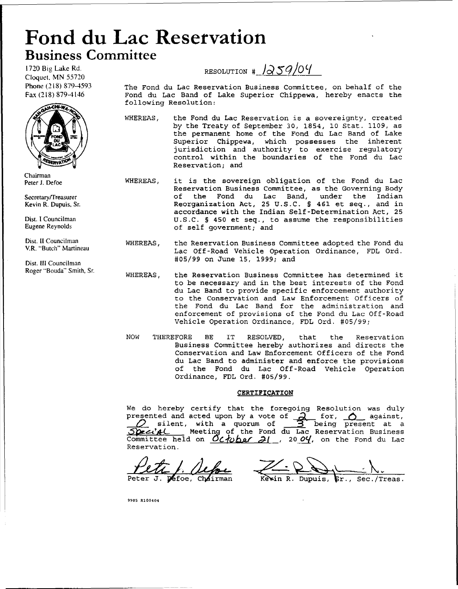# **Fond du Lac Reservation Business Committee**

1720 Big Lake Rd. Cloquet. MN 55720 Phone (218) 879-4593 Fax (218) 879-4146



Chairman Peter 1. DeFoe

Secretary/Treasurer Kevin R. Dupuis. Sr.

Dist. I Councilman Eugene Reynolds

Dist. II Councilman Y.R. "Butch" Martineau

Dist. III Councilman Roger "Bouda" Smith, Sf.

RESOLUTION #  $\sqrt{259/04}$ 

The Fond du Lac Reservation Business Committee, on behalf of the Fond du Lac Band of Lake Superior Chippewa, hereby enacts the following Resolution:

- WHEREAS, the Fond du Lac Reservation is <sup>a</sup> sovereignty, created by the Treaty of September 30, 1854, 10 Stat. 1109, as the permanent home of the Fond du Lac Band of Lake Superior Chippewa, which possesses the inherent jurisdiction and authority to exercise regulatory control within the boundaries of the Fond du Lac Reservation; and
- WHEREAS, it is the sovereign obligation of the Fond du Lac Reservation Business Committee, as the Governing Body of the Fond du Lac Band, under the Indian Reorganization Act, <sup>25</sup> U.S.C. § 461 et seq., and in accordance with the Indian Self-Determination Act, 25 U.S.C. § 450 et seq., to assume the responsibilities of self government; and
	- WHEREAS, the Reservation Business Committee adopted the Fond du Lac Off-Road Vehicle Operation Ordinance, FDL Ord. #05/99 on June 15, 1999; and
	- WHEREAS, the Reservation Business Committee has determined it to be necessary and in the best interests of the Fond du Lac Band to provide specific enforcement authority to the Conservation and Law Enforcement Officers of the Fond du Lac Band for the administration and enforcement of provisions of the Fond du Lac Off-Road Vehicle Operation Ordinance, FDL Ord. #05/99;
	- NOW THEREFORE BE IT RESOLVED, that the Reservation Business Committee hereby authorizes and directs the Conservation and Law Enforcement Officers of the Fond du Lac Band to administer and enforce the provisions of the Fond du Lac Off-Road Vehicle Operation Ordinance, FDL Ord. #05/99.

#### CERTIFICATION

We do hereby certify that the foregoing Resolution was duly presented and acted upon by a vote of  $\tilde{A}$  for,  $\tilde{O}$  against, silent, with a quorum of  $\frac{1}{2}$  being present at a Spect<sup>t</sup>Al Meeting of the Fond du Lac Reservation Business<br>Committee held on *October 21*, 2004, on the Fond du Lac Reservation.

 $\frac{L}{L}$   $\frac{L}{L}$   $\frac{L}{L}$   $\frac{L}{L}$   $\frac{L}{L}$   $\frac{L}{L}$   $\frac{L}{L}$   $\frac{L}{L}$   $\frac{L}{L}$   $\frac{L}{L}$   $\frac{L}{L}$   $\frac{L}{L}$   $\frac{L}{L}$   $\frac{L}{L}$   $\frac{L}{L}$   $\frac{L}{L}$   $\frac{L}{L}$   $\frac{L}{L}$   $\frac{L}{L}$   $\frac{L}{L}$   $\frac{L}{L}$   $\frac{L}{L}$  Sec./Treas.

9905 R100404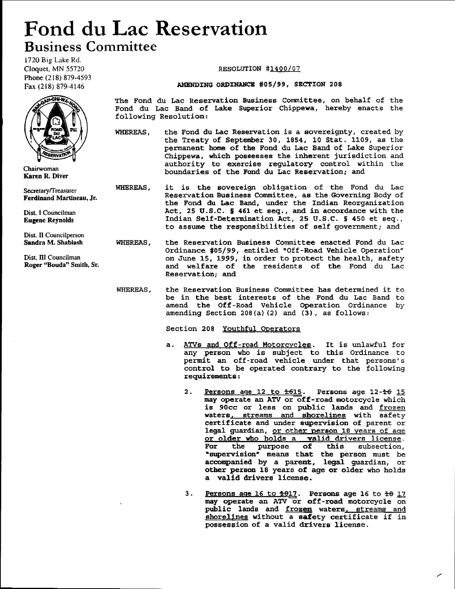# **Fond du Lac Reservation** Business Committee

1720 Big Lake Rd. Cloquet, MN 55720 Phone (218) 879-4593 Fax (218) 879-4146



Chairwoman Karen R. Diver

Secretary/Treasurer Ferdinand Martineau, Jr.

Dist I Councilman Eugene Reynolds

Dist. II Councilperson Sandra M. Shabiash

Dist. III Councilman Roger ''Bouda'' Smith, Sr.

#### RESOLUTION #1400/07

#### AMENDING ORDINANCE #05/99, SECTION 208

The Fond du Lac Reservation Business committee, on behalf of the Fond du Lac Band of Lake Superior Chippewa, hereby enacts the following Resolution:

- WHEREAS, the Fond du Lac Reservation is a sovereignty, created by the Treaty of September 30, 1854, 10 Stat. 1109, as the permanent home of the Fond du Lac Band of Lake Superior Chippewa, which possesses the inherent jurisdiction and authority to exercise regulatory control within the boundaries of the Fond du Lac Reservation; and
- WHEREAS, it is the sovereign obligation of the Fond du Lac Reservation Business Committee, as the Governing Body of the Fond du Lac Band, under the Indian Reorganization Act, 25 U.S.C. § 461 et seq., and in accordance with the Indian Self-Determination Act, 25 U.S.C. § 450 et seq., to assume the responsibilities of self government; and
- WHEREAS, the Reservation Business Committee enacted Fond du Lac Ordinance #05/99, entitled "Off-Road Vehicle Operation" on June 15, 1999, in order to protect the health, safety and welfare of the residents of the Fond du Lac Reservation; and
- WHEREAS, the Reservation Business Committee has determined it to be in the best interests of the Fond du Lac Band to amend the Off-Road vehicle Operation Ordinance by amending Section 208(a) (2) and (3), as follows:

Section 208 Youthful Operators

- a. ATVs and Off-road Motorcycles. It is unlawful for any person who is subject to this Ordinance to permit an off-road vehicle under that persons's control to be operated contrary to the following requirements:
	- 2. Persons age  $12$  to  $\pm 615$ . Persons age  $12 46$  15 may operate an ATV or off-road motorcycle which is 90cc or less on public lands and frozen waters, streams and shorelines with safety certificate and under supervision of parent or legal guardian, or other person 18 years of age or older who holds a valid drivers license.<br>For the purpose of this subsection, this subsection, •supervision" means that the person must be accompanied by a parent, legal guardian, or other person 18 years of age or older who holds a valid drivers license.
	- 3. Persons age  $16$  to  $\pm 0.17$ . Persons age 16 to  $\pm 0.17$ may operate an ATV or off-road motorcycle on public lands and frozen waters, streams and shorelines without <sup>a</sup> safety certificate if in possession of a valid drivers license.

./